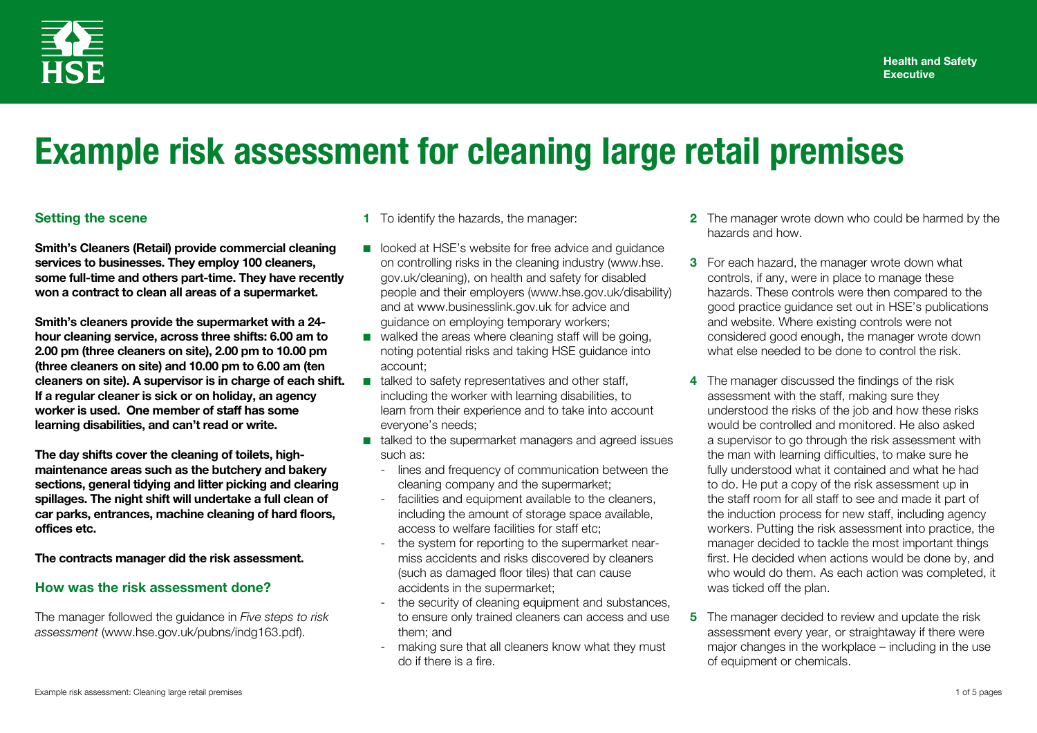

# **Example risk assessment for cleaning large retail premises**

### **Setting the scene**

**Smith's Cleaners (Retail) provide commercial cleaning services to businesses. They employ 100 cleaners, some full-time and others part-time. They have recently won a contract to clean all areas of a supermarket.** 

**Smith's cleaners provide the supermarket with a 24 hour cleaning service, across three shifts: 6.00 am to 2.00 pm (three cleaners on site), 2.00 pm to 10.00 pm (three cleaners on site) and 10.00 pm to 6.00 am (ten cleaners on site). A supervisor is in charge of each shift. If a regular cleaner is sick or on holiday, an agency worker is used. One member of staff has some learning disabilities, and can't read or write.** 

**The day shifts cover the cleaning of toilets, highmaintenance areas such as the butchery and bakery sections, general tidying and litter picking and clearing spillages. The night shift will undertake a full clean of car parks, entrances, machine cleaning of hard floors, offices etc.** 

**The contracts manager did the risk assessment.** 

#### **How was the risk assessment done?**

The manager followed the guidance in *Five steps to risk assessment* (www.hse.gov.uk/pubns/indg163.pdf).

**1** To identify the hazards, the manager:

- looked at HSE's website for free advice and quidance on controlling risks in the cleaning industry (www.hse. gov.uk/cleaning), on health and safety for disabled people and their employers (www.hse.gov.uk/disability) and at www.businesslink.gov.uk for advice and guidance on employing temporary workers;
- walked the areas where cleaning staff will be going, noting potential risks and taking HSE guidance into account;
- talked to safety representatives and other staff, including the worker with learning disabilities, to learn from their experience and to take into account everyone's needs;
- talked to the supermarket managers and agreed issues such as:
	- lines and frequency of communication between the cleaning company and the supermarket;
	- facilities and equipment available to the cleaners, including the amount of storage space available, access to welfare facilities for staff etc;
	- the system for reporting to the supermarket nearmiss accidents and risks discovered by cleaners (such as damaged floor tiles) that can cause accidents in the supermarket;
	- the security of cleaning equipment and substances, to ensure only trained cleaners can access and use them; and
	- making sure that all cleaners know what they must do if there is a fire.
- **2** The manager wrote down who could be harmed by the hazards and how.
- **3** For each hazard, the manager wrote down what controls, if any, were in place to manage these hazards. These controls were then compared to the good practice guidance set out in HSE's publications and website. Where existing controls were not considered good enough, the manager wrote down what else needed to be done to control the risk.
- **4** The manager discussed the findings of the risk assessment with the staff, making sure they understood the risks of the job and how these risks would be controlled and monitored. He also asked a supervisor to go through the risk assessment with the man with learning difficulties, to make sure he fully understood what it contained and what he had to do. He put a copy of the risk assessment up in the staff room for all staff to see and made it part of the induction process for new staff, including agency workers. Putting the risk assessment into practice, the manager decided to tackle the most important things first. He decided when actions would be done by, and who would do them. As each action was completed, it was ticked off the plan.
- **5** The manager decided to review and update the risk assessment every year, or straightaway if there were major changes in the workplace – including in the use of equipment or chemicals.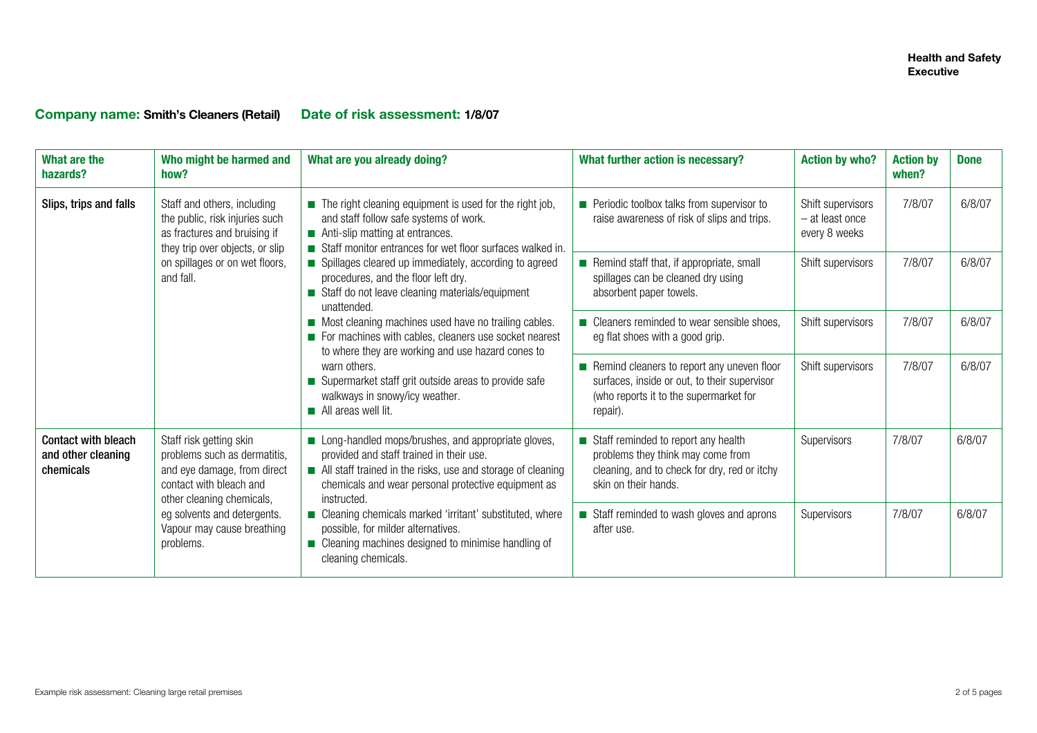# **Company name: Smith's Cleaners (Retail) Date of risk assessment: 1/8/07**

| What are the<br>hazards?                                      | Who might be harmed and<br>how?                                                                                                                                                                                          | What are you already doing?                                                                                                                                                                                                                                                                                                                                                                                                                                                                                                                                                                                                                                                                                | What further action is necessary?                                                                                                                | <b>Action by who?</b>                                 | <b>Action by</b><br>when? | <b>Done</b> |
|---------------------------------------------------------------|--------------------------------------------------------------------------------------------------------------------------------------------------------------------------------------------------------------------------|------------------------------------------------------------------------------------------------------------------------------------------------------------------------------------------------------------------------------------------------------------------------------------------------------------------------------------------------------------------------------------------------------------------------------------------------------------------------------------------------------------------------------------------------------------------------------------------------------------------------------------------------------------------------------------------------------------|--------------------------------------------------------------------------------------------------------------------------------------------------|-------------------------------------------------------|---------------------------|-------------|
| Slips, trips and falls<br>and fall.                           | Staff and others, including<br>the public, risk injuries such<br>as fractures and bruising if<br>they trip over objects, or slip                                                                                         | $\blacksquare$ The right cleaning equipment is used for the right job,<br>and staff follow safe systems of work.<br>Anti-slip matting at entrances.<br>Staff monitor entrances for wet floor surfaces walked in.<br>■ Spillages cleared up immediately, according to agreed<br>procedures, and the floor left dry.<br>Staff do not leave cleaning materials/equipment<br>unattended.<br>Most cleaning machines used have no trailing cables.<br>For machines with cables, cleaners use socket nearest<br>to where they are working and use hazard cones to<br>warn others.<br>Supermarket staff grit outside areas to provide safe<br>walkways in snowy/icy weather.<br>$\blacksquare$ All areas well lit. | Periodic toolbox talks from supervisor to<br>raise awareness of risk of slips and trips.                                                         | Shift supervisors<br>- at least once<br>every 8 weeks | 7/8/07                    | 6/8/07      |
|                                                               | on spillages or on wet floors,                                                                                                                                                                                           |                                                                                                                                                                                                                                                                                                                                                                                                                                                                                                                                                                                                                                                                                                            | Remind staff that, if appropriate, small<br>spillages can be cleaned dry using<br>absorbent paper towels.                                        | Shift supervisors                                     | 7/8/07                    | 6/8/07      |
|                                                               |                                                                                                                                                                                                                          |                                                                                                                                                                                                                                                                                                                                                                                                                                                                                                                                                                                                                                                                                                            | ■ Cleaners reminded to wear sensible shoes,<br>eg flat shoes with a good grip.                                                                   | Shift supervisors                                     | 7/8/07                    | 6/8/07      |
|                                                               |                                                                                                                                                                                                                          |                                                                                                                                                                                                                                                                                                                                                                                                                                                                                                                                                                                                                                                                                                            | Remind cleaners to report any uneven floor<br>surfaces, inside or out, to their supervisor<br>(who reports it to the supermarket for<br>repair). | Shift supervisors                                     | 7/8/07                    | 6/8/07      |
| <b>Contact with bleach</b><br>and other cleaning<br>chemicals | Staff risk getting skin<br>problems such as dermatitis,<br>and eye damage, from direct<br>contact with bleach and<br>other cleaning chemicals,<br>eg solvents and detergents.<br>Vapour may cause breathing<br>problems. | Long-handled mops/brushes, and appropriate gloves,<br>provided and staff trained in their use.<br>All staff trained in the risks, use and storage of cleaning<br>chemicals and wear personal protective equipment as<br>instructed.                                                                                                                                                                                                                                                                                                                                                                                                                                                                        | Staff reminded to report any health<br>problems they think may come from<br>cleaning, and to check for dry, red or itchy<br>skin on their hands. | Supervisors                                           | 7/8/07                    | 6/8/07      |
|                                                               |                                                                                                                                                                                                                          | ■ Cleaning chemicals marked 'irritant' substituted, where<br>possible, for milder alternatives.<br>■ Cleaning machines designed to minimise handling of<br>cleaning chemicals.                                                                                                                                                                                                                                                                                                                                                                                                                                                                                                                             | Staff reminded to wash gloves and aprons<br>after use.                                                                                           | Supervisors                                           | 7/8/07                    | 6/8/07      |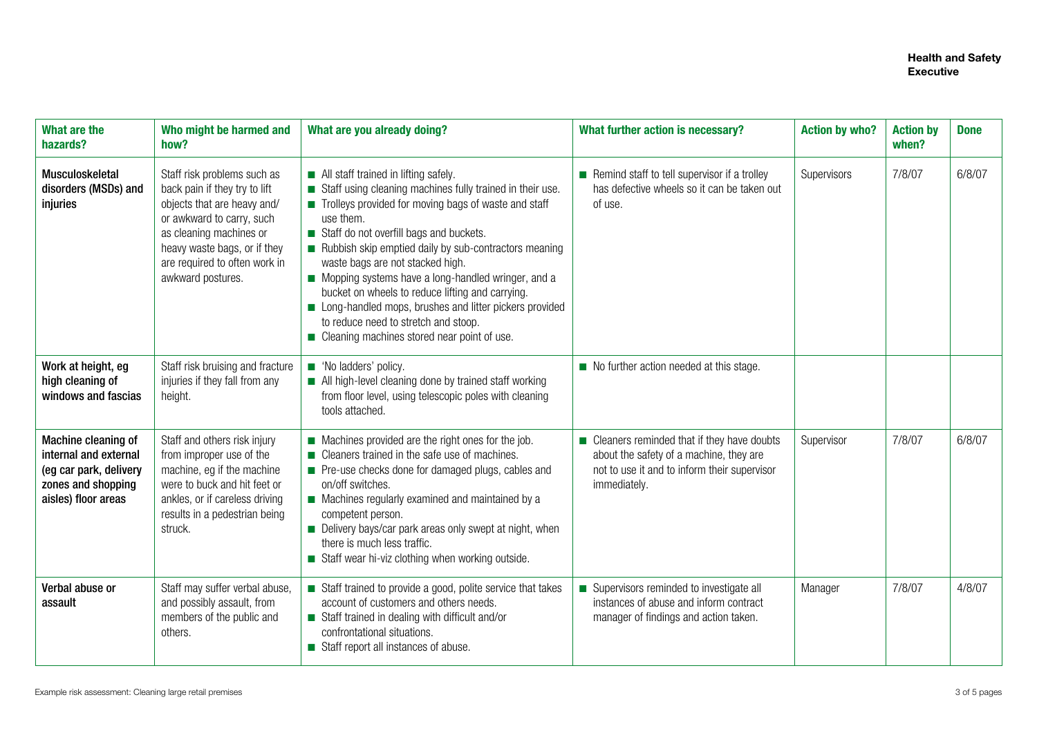| What are the<br>hazards?                                                                                            | Who might be harmed and<br>how?                                                                                                                                                                                                           | What are you already doing?                                                                                                                                                                                                                                                                                                                                                                                                                                                                                                                                                 | What further action is necessary?                                                                                                                       | <b>Action by who?</b> | <b>Action by</b><br>when? | <b>Done</b> |
|---------------------------------------------------------------------------------------------------------------------|-------------------------------------------------------------------------------------------------------------------------------------------------------------------------------------------------------------------------------------------|-----------------------------------------------------------------------------------------------------------------------------------------------------------------------------------------------------------------------------------------------------------------------------------------------------------------------------------------------------------------------------------------------------------------------------------------------------------------------------------------------------------------------------------------------------------------------------|---------------------------------------------------------------------------------------------------------------------------------------------------------|-----------------------|---------------------------|-------------|
| Musculoskeletal<br>disorders (MSDs) and<br>injuries                                                                 | Staff risk problems such as<br>back pain if they try to lift<br>objects that are heavy and/<br>or awkward to carry, such<br>as cleaning machines or<br>heavy waste bags, or if they<br>are required to often work in<br>awkward postures. | All staff trained in lifting safely.<br>Staff using cleaning machines fully trained in their use.<br>Trolleys provided for moving bags of waste and staff<br>use them.<br>Staff do not overfill bags and buckets.<br>Rubbish skip emptied daily by sub-contractors meaning<br>waste bags are not stacked high.<br>Mopping systems have a long-handled wringer, and a<br>bucket on wheels to reduce lifting and carrying.<br>Long-handled mops, brushes and litter pickers provided<br>to reduce need to stretch and stoop.<br>■ Cleaning machines stored near point of use. | Remind staff to tell supervisor if a trolley<br>has defective wheels so it can be taken out<br>of use.                                                  | Supervisors           | 7/8/07                    | 6/8/07      |
| Work at height, eg<br>high cleaning of<br>windows and fascias                                                       | Staff risk bruising and fracture<br>injuries if they fall from any<br>height.                                                                                                                                                             | No ladders' policy.<br>All high-level cleaning done by trained staff working<br>from floor level, using telescopic poles with cleaning<br>tools attached.                                                                                                                                                                                                                                                                                                                                                                                                                   | $\blacksquare$ No further action needed at this stage.                                                                                                  |                       |                           |             |
| Machine cleaning of<br>internal and external<br>(eg car park, delivery<br>zones and shopping<br>aisles) floor areas | Staff and others risk injury<br>from improper use of the<br>machine, eg if the machine<br>were to buck and hit feet or<br>ankles, or if careless driving<br>results in a pedestrian being<br>struck.                                      | Machines provided are the right ones for the job.<br>■ Cleaners trained in the safe use of machines.<br>Pre-use checks done for damaged plugs, cables and<br>on/off switches.<br>Machines regularly examined and maintained by a<br>competent person.<br>Delivery bays/car park areas only swept at night, when<br>there is much less traffic.<br>Staff wear hi-viz clothing when working outside.                                                                                                                                                                          | ■ Cleaners reminded that if they have doubts<br>about the safety of a machine, they are<br>not to use it and to inform their supervisor<br>immediately. | Supervisor            | 7/8/07                    | 6/8/07      |
| Verbal abuse or<br>assault                                                                                          | Staff may suffer verbal abuse,<br>and possibly assault, from<br>members of the public and<br>others.                                                                                                                                      | Staff trained to provide a good, polite service that takes<br>account of customers and others needs.<br>Staff trained in dealing with difficult and/or<br>confrontational situations.<br>Staff report all instances of abuse.                                                                                                                                                                                                                                                                                                                                               | Supervisors reminded to investigate all<br>instances of abuse and inform contract<br>manager of findings and action taken.                              | Manager               | 7/8/07                    | 4/8/07      |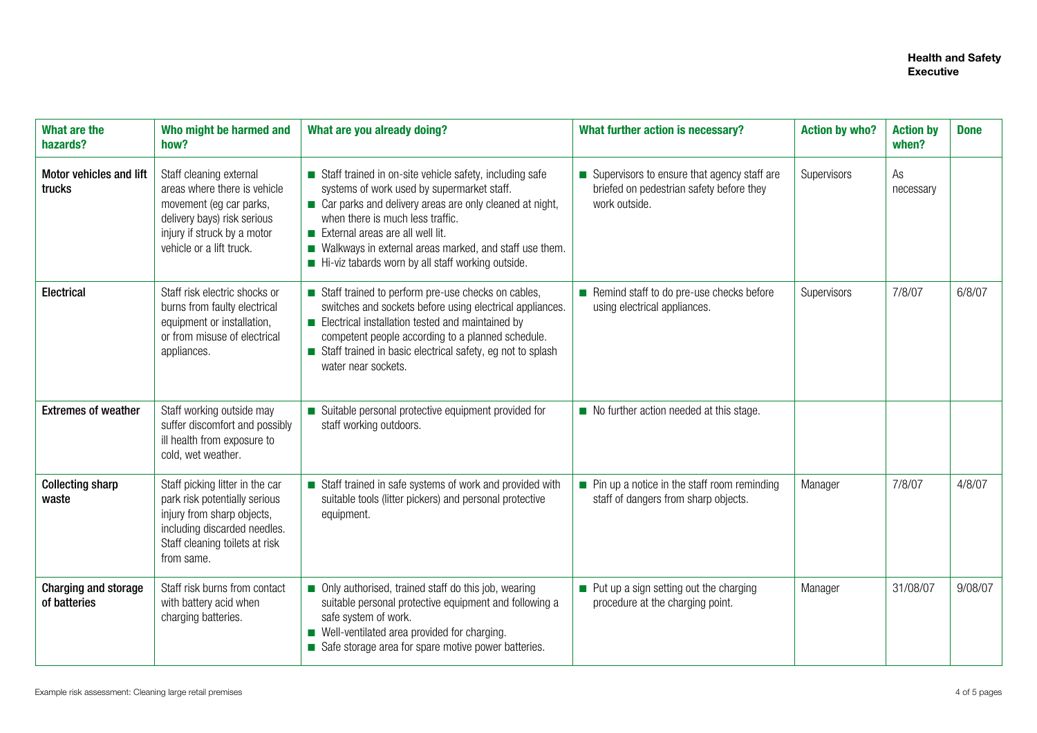| <b>What are the</b><br>hazards?             | Who might be harmed and<br>how?                                                                                                                                                | What are you already doing?                                                                                                                                                                                                                                                                                                                                              | What further action is necessary?                                                                        | <b>Action by who?</b> | <b>Action by</b><br>when? | <b>Done</b> |
|---------------------------------------------|--------------------------------------------------------------------------------------------------------------------------------------------------------------------------------|--------------------------------------------------------------------------------------------------------------------------------------------------------------------------------------------------------------------------------------------------------------------------------------------------------------------------------------------------------------------------|----------------------------------------------------------------------------------------------------------|-----------------------|---------------------------|-------------|
| Motor vehicles and lift<br>trucks           | Staff cleaning external<br>areas where there is vehicle<br>movement (eg car parks,<br>delivery bays) risk serious<br>injury if struck by a motor<br>vehicle or a lift truck.   | Staff trained in on-site vehicle safety, including safe<br>systems of work used by supermarket staff.<br>Car parks and delivery areas are only cleaned at night,<br>when there is much less traffic.<br>$\blacksquare$ External areas are all well lit.<br>■ Walkways in external areas marked, and staff use them.<br>Hi-viz tabards worn by all staff working outside. | Supervisors to ensure that agency staff are<br>briefed on pedestrian safety before they<br>work outside. | Supervisors           | As<br>necessary           |             |
| Electrical                                  | Staff risk electric shocks or<br>burns from faulty electrical<br>equipment or installation,<br>or from misuse of electrical<br>appliances.                                     | Staff trained to perform pre-use checks on cables,<br>switches and sockets before using electrical appliances.<br>Electrical installation tested and maintained by<br>competent people according to a planned schedule.<br>Staff trained in basic electrical safety, eg not to splash<br>water near sockets.                                                             | Remind staff to do pre-use checks before<br>using electrical appliances.                                 | Supervisors           | 7/8/07                    | 6/8/07      |
| <b>Extremes of weather</b>                  | Staff working outside may<br>suffer discomfort and possibly<br>ill health from exposure to<br>cold, wet weather.                                                               | ■ Suitable personal protective equipment provided for<br>staff working outdoors.                                                                                                                                                                                                                                                                                         | $\blacksquare$ No further action needed at this stage.                                                   |                       |                           |             |
| <b>Collecting sharp</b><br>waste            | Staff picking litter in the car<br>park risk potentially serious<br>injury from sharp objects,<br>including discarded needles.<br>Staff cleaning toilets at risk<br>from same. | Staff trained in safe systems of work and provided with<br>suitable tools (litter pickers) and personal protective<br>equipment.                                                                                                                                                                                                                                         | $\blacksquare$ Pin up a notice in the staff room reminding<br>staff of dangers from sharp objects.       | Manager               | 7/8/07                    | 4/8/07      |
| <b>Charging and storage</b><br>of batteries | Staff risk burns from contact<br>with battery acid when<br>charging batteries.                                                                                                 | • Only authorised, trained staff do this job, wearing<br>suitable personal protective equipment and following a<br>safe system of work.<br>■ Well-ventilated area provided for charging.<br>Safe storage area for spare motive power batteries.                                                                                                                          | • Put up a sign setting out the charging<br>procedure at the charging point.                             | Manager               | 31/08/07                  | 9/08/07     |